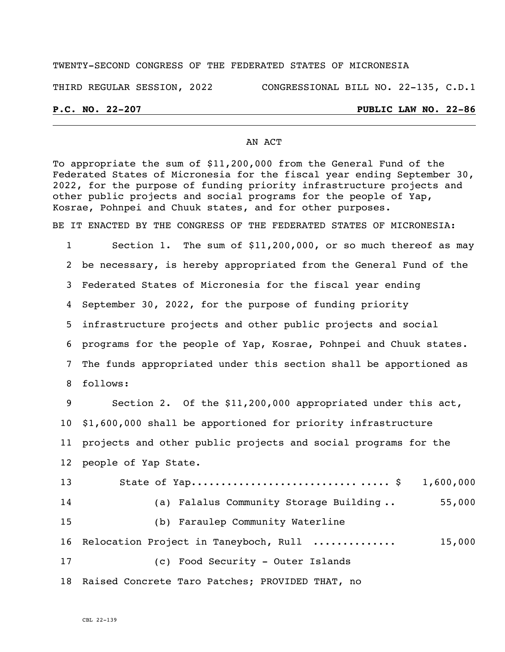### TWENTY-SECOND CONGRESS OF THE FEDERATED STATES OF MICRONESIA

THIRD REGULAR SESSION, 2022 CONGRESSIONAL BILL NO. 22-135, C.D.1

### **P.C. NO. 22-207 PUBLIC LAW NO. 22-86**

### AN ACT

To appropriate the sum of \$11,200,000 from the General Fund of the Federated States of Micronesia for the fiscal year ending September 30, 2022, for the purpose of funding priority infrastructure projects and other public projects and social programs for the people of Yap, Kosrae, Pohnpei and Chuuk states, and for other purposes.

BE IT ENACTED BY THE CONGRESS OF THE FEDERATED STATES OF MICRONESIA:

 Section 1. The sum of \$11,200,000, or so much thereof as may be necessary, is hereby appropriated from the General Fund of the Federated States of Micronesia for the fiscal year ending September 30, 2022, for the purpose of funding priority infrastructure projects and other public projects and social programs for the people of Yap, Kosrae, Pohnpei and Chuuk states. The funds appropriated under this section shall be apportioned as follows:

 Section 2. Of the \$11,200,000 appropriated under this act, \$1,600,000 shall be apportioned for priority infrastructure projects and other public projects and social programs for the people of Yap State.

 State of Yap............................ ..... \$ 1,600,000 (a) Falalus Community Storage Building .. 55,000 (b) Faraulep Community Waterline Relocation Project in Taneyboch, Rull .............. 15,000 (c) Food Security - Outer Islands Raised Concrete Taro Patches; PROVIDED THAT, no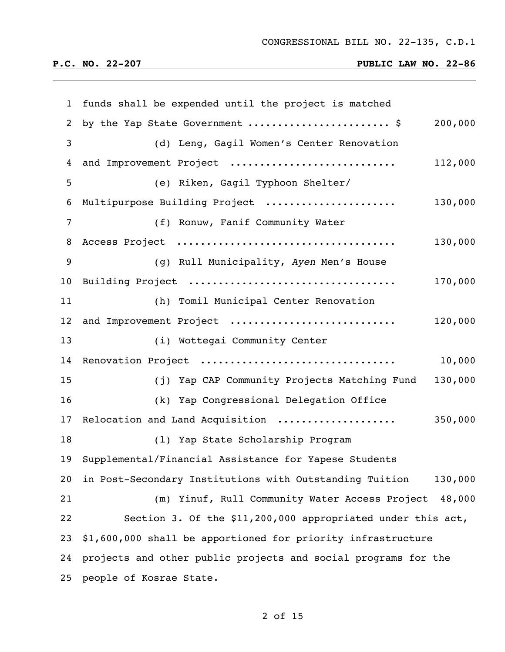| 1               | funds shall be expended until the project is matched               |
|-----------------|--------------------------------------------------------------------|
| 2               | by the Yap State Government  \$<br>200,000                         |
| $\mathbf{3}$    | (d) Leng, Gagil Women's Center Renovation                          |
| 4               | and Improvement Project<br>112,000                                 |
| 5               | (e) Riken, Gagil Typhoon Shelter/                                  |
| 6               | Multipurpose Building Project<br>130,000                           |
| $\overline{7}$  | (f) Ronuw, Fanif Community Water                                   |
| 8               | 130,000                                                            |
| 9               | (g) Rull Municipality, Ayen Men's House                            |
| 10 <sub>1</sub> | 170,000                                                            |
| 11              | (h) Tomil Municipal Center Renovation                              |
| 12 <sup>°</sup> | 120,000<br>and Improvement Project                                 |
| 13              | (i) Wottegai Community Center                                      |
| 14              | 10,000<br>Renovation Project                                       |
| 15              | (j) Yap CAP Community Projects Matching Fund<br>130,000            |
| 16              | (k) Yap Congressional Delegation Office                            |
| 17              | Relocation and Land Acquisition<br>350,000                         |
| 18              | (1) Yap State Scholarship Program                                  |
| 19              | Supplemental/Financial Assistance for Yapese Students              |
| 20              | in Post-Secondary Institutions with Outstanding Tuition<br>130,000 |
| 21              | (m) Yinuf, Rull Community Water Access Project 48,000              |
| 22              | Section 3. Of the \$11,200,000 appropriated under this act,        |
| 23              | \$1,600,000 shall be apportioned for priority infrastructure       |
| 24              | projects and other public projects and social programs for the     |
| 25              | people of Kosrae State.                                            |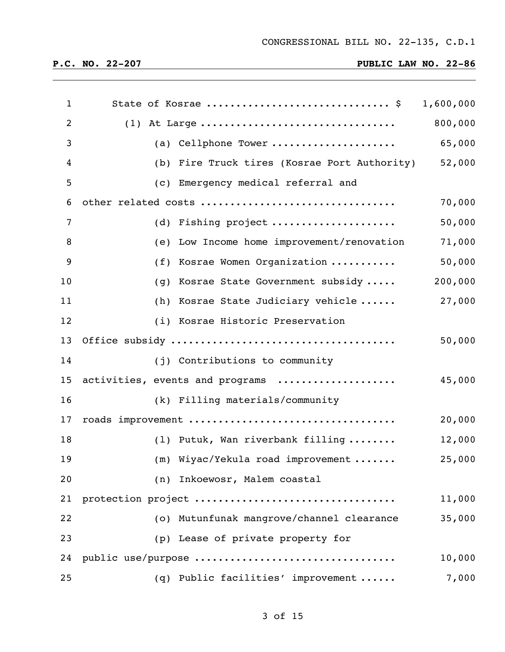| $\mathbf{1}$   | State of Kosrae  \$ 1,600,000                |         |
|----------------|----------------------------------------------|---------|
| $\overline{2}$ |                                              | 800,000 |
| 3              | (a) Cellphone Tower                          | 65,000  |
| 4              | (b) Fire Truck tires (Kosrae Port Authority) | 52,000  |
| 5              | (c) Emergency medical referral and           |         |
| 6              | other related costs                          | 70,000  |
| $\overline{7}$ | (d) Fishing project                          | 50,000  |
| 8              | (e) Low Income home improvement/renovation   | 71,000  |
| 9              | (f) Kosrae Women Organization                | 50,000  |
| 10             | (g) Kosrae State Government subsidy          | 200,000 |
| 11             | (h) Kosrae State Judiciary vehicle           | 27,000  |
| 12             | (i) Kosrae Historic Preservation             |         |
| 13             |                                              | 50,000  |
| 14             | (j) Contributions to community               |         |
| 15             | activities, events and programs              | 45,000  |
| 16             | (k) Filling materials/community              |         |
| 17             | roads improvement                            | 20,000  |
| 18             | (1) Putuk, Wan riverbank filling             | 12,000  |
| 19             | (m) Wiyac/Yekula road improvement            | 25,000  |
| 20             | (n) Inkoewosr, Malem coastal                 |         |
| 21             | protection project                           | 11,000  |
| 22             | (o) Mutunfunak mangrove/channel clearance    | 35,000  |
| 23             | (p) Lease of private property for            |         |
| 24             | public use/purpose                           | 10,000  |
| 25             | (q) Public facilities' improvement           | 7,000   |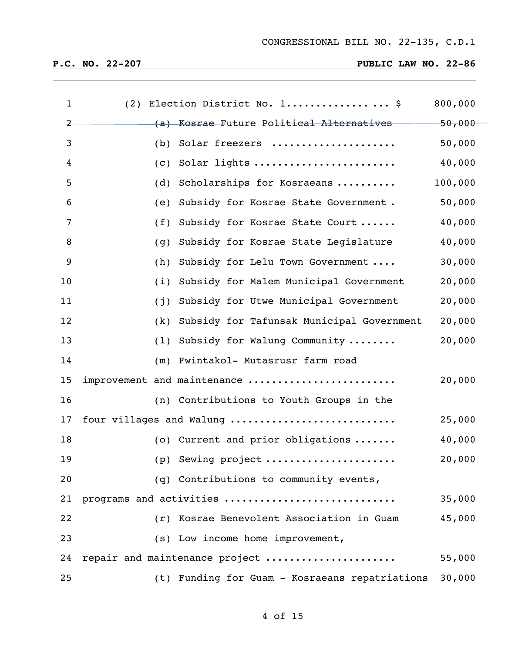| $\mathbf{1}$   |     | (2) Election District No. 1 \$                 | 800,000 |
|----------------|-----|------------------------------------------------|---------|
| $\overline{2}$ |     | (a) Kosrae Future Political Alternatives       | 50,000  |
| 3              | (b) | Solar freezers                                 | 50,000  |
| 4              | (C) | Solar lights                                   | 40,000  |
| 5              | (d) | Scholarships for Kosraeans                     | 100,000 |
| 6              | (e) | Subsidy for Kosrae State Government.           | 50,000  |
| 7              | (f) | Subsidy for Kosrae State Court                 | 40,000  |
| 8              | (g) | Subsidy for Kosrae State Legislature           | 40,000  |
| 9              | (h) | Subsidy for Lelu Town Government               | 30,000  |
| 10             | (i) | Subsidy for Malem Municipal Government         | 20,000  |
| 11             | (j) | Subsidy for Utwe Municipal Government          | 20,000  |
| 12             | (k) | Subsidy for Tafunsak Municipal Government      | 20,000  |
| 13             |     | (1) Subsidy for Walung Community               | 20,000  |
| 14             |     | (m) Fwintakol- Mutasrusr farm road             |         |
| 15             |     | improvement and maintenance                    | 20,000  |
| 16             |     | (n) Contributions to Youth Groups in the       |         |
| 17             |     | four villages and Walung                       | 25,000  |
| 18             |     | (o) Current and prior obligations              | 40,000  |
| 19             |     | (p) Sewing project                             | 20,000  |
| 20             |     | (q) Contributions to community events,         |         |
| 21             |     | programs and activities                        | 35,000  |
| 22             |     | (r) Kosrae Benevolent Association in Guam      | 45,000  |
| 23             |     | (s) Low income home improvement,               |         |
| 24             |     | repair and maintenance project                 | 55,000  |
| 25             |     | (t) Funding for Guam - Kosraeans repatriations | 30,000  |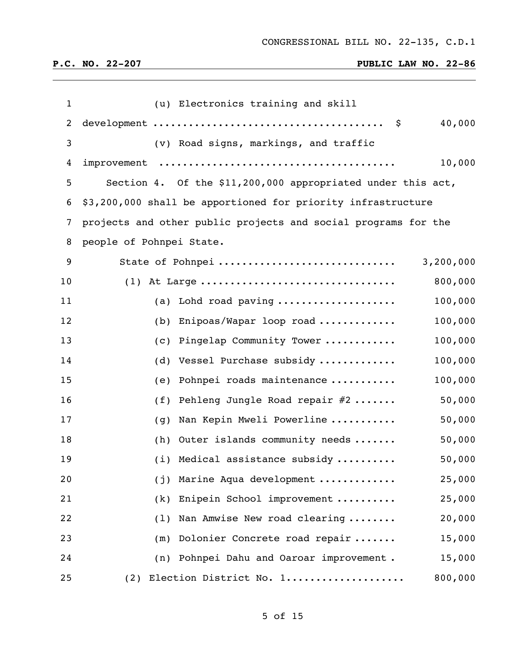| $\mathbf{1}$ | (u) Electronics training and skill                                   |
|--------------|----------------------------------------------------------------------|
| 2            | 40,000                                                               |
| 3            | (v) Road signs, markings, and traffic                                |
| 4            | 10,000                                                               |
| 5            | Section 4. Of the \$11,200,000 appropriated under this act,          |
| 6            | \$3,200,000 shall be apportioned for priority infrastructure         |
| 7            | projects and other public projects and social programs for the       |
| 8            | people of Pohnpei State.                                             |
| 9            | 3,200,000<br>State of Pohnpei                                        |
| 10           | 800,000<br>$(1)$ At Large                                            |
| 11           | 100,000<br>(a) Lohd road paving $\ldots \ldots \ldots \ldots \ldots$ |
| 12           | 100,000<br>(b) Enipoas/Wapar loop road                               |
| 13           | 100,000<br>(c) Pingelap Community Tower                              |
| 14           | 100,000<br>(d) Vessel Purchase subsidy                               |
| 15           | 100,000<br>(e) Pohnpei roads maintenance                             |
| 16           | 50,000<br>(f) Pehleng Jungle Road repair $#2$                        |
| 17           | 50,000<br>Nan Kepin Mweli Powerline<br>(g)                           |
| 18           | 50,000<br>(h) Outer islands community needs                          |
| 19           | (i) Medical assistance subsidy<br>50,000                             |
| 20           | 25,000<br>Marine Aqua development<br>(j)                             |
| 21           | Enipein School improvement<br>25,000<br>(k)                          |
| 22           | Nan Amwise New road clearing<br>20,000<br>(1)                        |
| 23           | Dolonier Concrete road repair<br>15,000<br>(m)                       |
| 24           | 15,000<br>Pohnpei Dahu and Oaroar improvement.<br>(n)                |
| 25           | (2) Election District No. 1<br>800,000                               |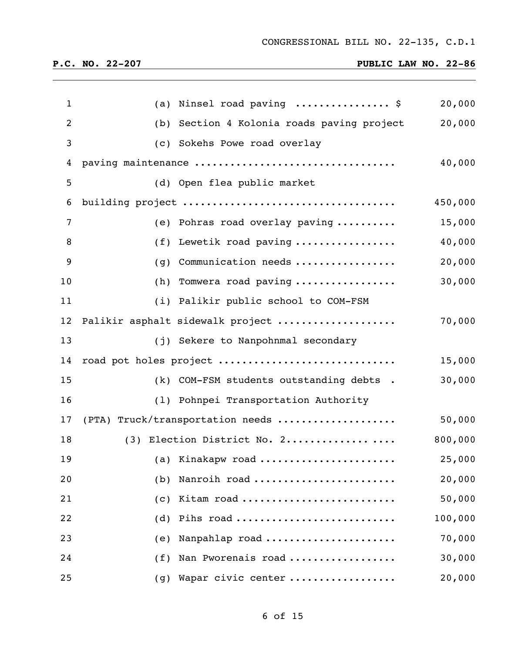| $\mathbf{1}$ |     | (a) Ninsel road paving  \$                            | 20,000  |
|--------------|-----|-------------------------------------------------------|---------|
| 2            |     | (b) Section 4 Kolonia roads paving project            | 20,000  |
| 3            |     | (c) Sokehs Powe road overlay                          |         |
| 4            |     | paving maintenance                                    | 40,000  |
| 5            |     | (d) Open flea public market                           |         |
| 6            |     | building project                                      | 450,000 |
| 7            |     | (e) Pohras road overlay paving $\ldots \ldots \ldots$ | 15,000  |
| 8            |     | (f) Lewetik road paving                               | 40,000  |
| 9            | (g) | Communication needs                                   | 20,000  |
| 10           |     | $(h)$ Tomwera road paving                             | 30,000  |
| 11           |     | (i) Palikir public school to COM-FSM                  |         |
| 12           |     | Palikir asphalt sidewalk project                      | 70,000  |
| 13           |     | (j) Sekere to Nanpohnmal secondary                    |         |
| 14           |     | road pot holes project                                | 15,000  |
| 15           |     | (k) COM-FSM students outstanding debts .              | 30,000  |
| 16           |     | (1) Pohnpei Transportation Authority                  |         |
| 17           |     | (PTA) Truck/transportation needs                      | 50,000  |
| 18           |     | (3) Election District No. 2                           | 800,000 |
| 19           |     | (a) Kinakapw road                                     | 25,000  |
| 20           | (b) | Nanroih road                                          | 20,000  |
| 21           | (c) | Kitam road                                            | 50,000  |
| 22           | (d) | Pihs road                                             | 100,000 |
| 23           | (e) | Nanpahlap road                                        | 70,000  |
| 24           | (f) | Nan Pworenais road                                    | 30,000  |
| 25           | (g) | Wapar civic center                                    | 20,000  |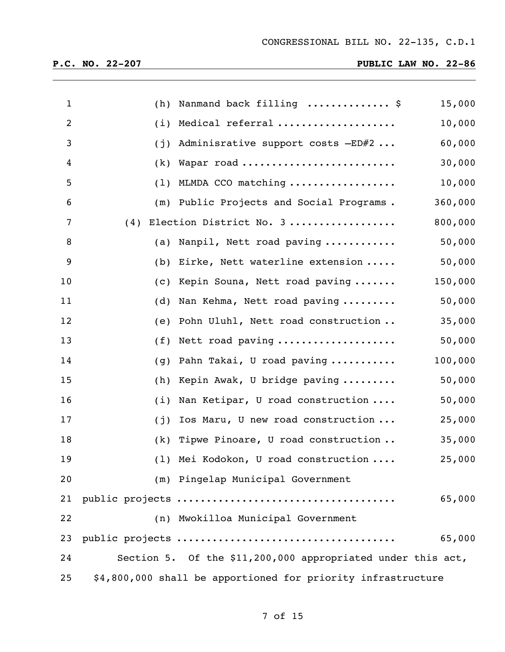| $\mathbf{1}$   |     | (h) Nanmand back filling  \$                                 | 15,000  |
|----------------|-----|--------------------------------------------------------------|---------|
| $\overline{2}$ |     | (i) Medical referral                                         | 10,000  |
| 3              |     | (j) Adminisrative support costs $-ED#2$                      | 60,000  |
| 4              |     | $(k)$ Wapar road                                             | 30,000  |
| 5              |     | $(1)$ MLMDA CCO matching                                     | 10,000  |
| 6              |     | (m) Public Projects and Social Programs.                     | 360,000 |
| 7              | (4) | Election District No. 3                                      | 800,000 |
| 8              |     | (a) Nanpil, Nett road paving                                 | 50,000  |
| 9              |     | (b) Eirke, Nett waterline extension                          | 50,000  |
| 10             |     | (c) Kepin Souna, Nett road paving                            | 150,000 |
| 11             |     | (d) Nan Kehma, Nett road paving                              | 50,000  |
| 12             |     | (e) Pohn Uluhl, Nett road construction                       | 35,000  |
| 13             |     | $(f)$ Nett road paving                                       | 50,000  |
| 14             |     | (g) Pahn Takai, U road paving                                | 100,000 |
| 15             |     | (h) Kepin Awak, U bridge paving                              | 50,000  |
| 16             |     | (i) Nan Ketipar, U road construction                         | 50,000  |
| 17             | (j) | Ios Maru, U new road construction                            | 25,000  |
| 18             | (k) | Tipwe Pinoare, U road construction                           | 35,000  |
| 19             |     | (1) Mei Kodokon, U road construction                         | 25,000  |
| 20             |     | (m) Pingelap Municipal Government                            |         |
| 21             |     |                                                              | 65,000  |
| 22             |     | (n) Mwokilloa Municipal Government                           |         |
| 23             |     |                                                              | 65,000  |
| 24             |     | Section 5. Of the \$11,200,000 appropriated under this act,  |         |
| 25             |     | \$4,800,000 shall be apportioned for priority infrastructure |         |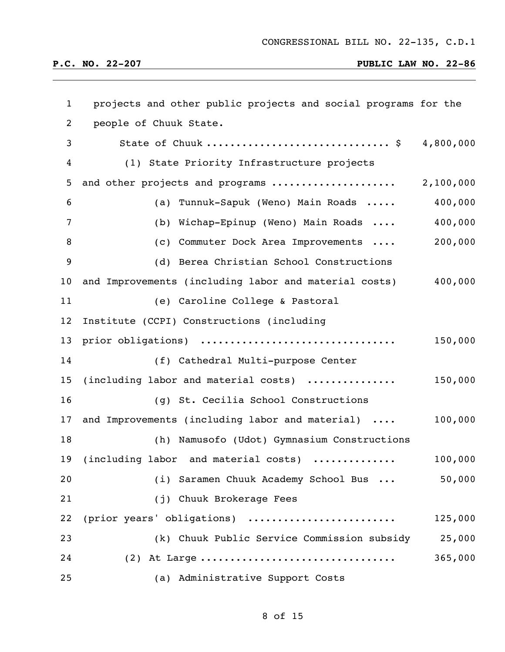| $\mathbf{1}$      | projects and other public projects and social programs for the |           |
|-------------------|----------------------------------------------------------------|-----------|
| $\overline{2}$    | people of Chuuk State.                                         |           |
| 3                 | State of Chuuk  \$ 4,800,000                                   |           |
| 4                 | (1) State Priority Infrastructure projects                     |           |
| 5                 | and other projects and programs                                | 2,100,000 |
| 6                 | (a) Tunnuk-Sapuk (Weno) Main Roads                             | 400,000   |
| 7                 | (b) Wichap-Epinup (Weno) Main Roads                            | 400,000   |
| 8                 | (c) Commuter Dock Area Improvements                            | 200,000   |
| 9                 | (d) Berea Christian School Constructions                       |           |
| 10 <sub>o</sub>   | and Improvements (including labor and material costs)          | 400,000   |
| 11                | (e) Caroline College & Pastoral                                |           |
| $12 \overline{ }$ | Institute (CCPI) Constructions (including                      |           |
| 13                | prior obligations)                                             | 150,000   |
| 14                | (f) Cathedral Multi-purpose Center                             |           |
| 15                | (including labor and material costs)                           | 150,000   |
| 16                | (g) St. Cecilia School Constructions                           |           |
| 17                | and Improvements (including labor and material)                | 100,000   |
| 18                | (h) Namusofo (Udot) Gymnasium Constructions                    |           |
| 19                | (including labor and material costs)<br>.                      | 100,000   |
| 20                | (i) Saramen Chuuk Academy School Bus                           | 50,000    |
| 21                | (j) Chuuk Brokerage Fees                                       |           |
| 22                | (prior years' obligations)                                     | 125,000   |
| 23                | (k) Chuuk Public Service Commission subsidy                    | 25,000    |
| 24                | $(2)$ At Large                                                 | 365,000   |
| 25                | (a) Administrative Support Costs                               |           |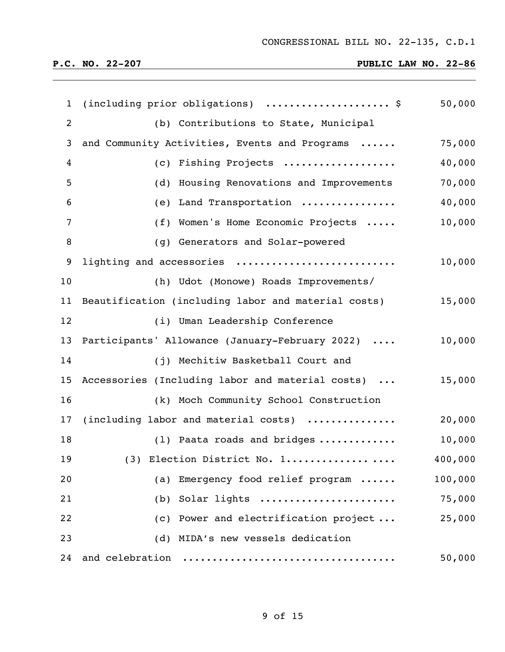| $\mathbf{1}$   | (including prior obligations)  \$                   | 50,000  |
|----------------|-----------------------------------------------------|---------|
| $\overline{2}$ | (b) Contributions to State, Municipal               |         |
| 3              | and Community Activities, Events and Programs       | 75,000  |
| $\overline{4}$ | (c) Fishing Projects                                | 40,000  |
| 5              | (d) Housing Renovations and Improvements            | 70,000  |
| 6              | (e) Land Transportation                             | 40,000  |
| $\overline{7}$ | (f) Women's Home Economic Projects                  | 10,000  |
| $\, 8$         | (g) Generators and Solar-powered                    |         |
| 9              | lighting and accessories                            | 10,000  |
| 10             | (h) Udot (Monowe) Roads Improvements/               |         |
| 11             | Beautification (including labor and material costs) | 15,000  |
| 12             | (i) Uman Leadership Conference                      |         |
| 13             | Participants' Allowance (January-February 2022)     | 10,000  |
| 14             | (j) Mechitiw Basketball Court and                   |         |
| 15             | Accessories (Including labor and material costs)    | 15,000  |
| 16             | (k) Moch Community School Construction              |         |
| 17             | (including labor and material costs)                | 20,000  |
| 18             | (1) Paata roads and bridges                         | 10,000  |
| 19             | (3) Election District No. 1                         | 400,000 |
| 20             | (a) Emergency food relief program                   | 100,000 |
| 21             | (b) Solar lights                                    | 75,000  |
| 22             | (c) Power and electrification project               | 25,000  |
| 23             | (d) MIDA's new vessels dedication                   |         |
| 24             | and celebration                                     | 50,000  |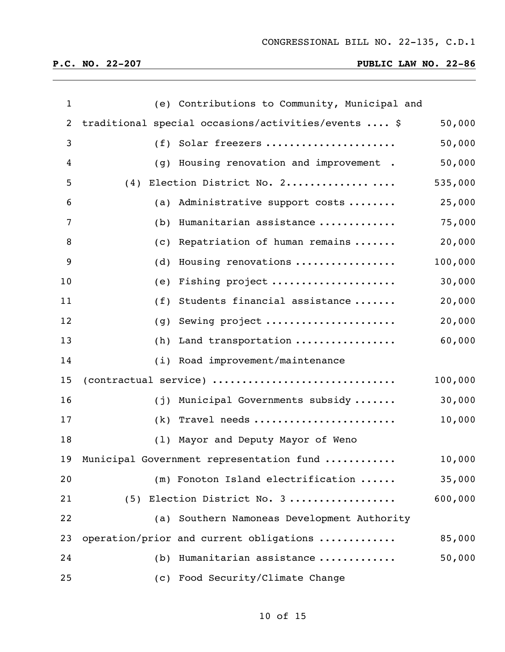| $\mathbf{1}$ |     | (e) Contributions to Community, Municipal and       |         |
|--------------|-----|-----------------------------------------------------|---------|
| 2            |     | traditional special occasions/activities/events  \$ | 50,000  |
| 3            |     | (f) Solar freezers                                  | 50,000  |
| 4            |     | (g) Housing renovation and improvement.             | 50,000  |
| 5            |     | $(4)$ Election District No. 2                       | 535,000 |
| 6            |     | (a) Administrative support costs                    | 25,000  |
| 7            |     | (b) Humanitarian assistance                         | 75,000  |
| 8            |     | (c) Repatriation of human remains                   | 20,000  |
| 9            |     | (d) Housing renovations                             | 100,000 |
| 10           |     | (e) Fishing project                                 | 30,000  |
| 11           |     | (f) Students financial assistance                   | 20,000  |
| 12           |     | (g) Sewing project                                  | 20,000  |
| 13           |     | (h) Land transportation                             | 60,000  |
| 14           |     | (i) Road improvement/maintenance                    |         |
| 15           |     | (contractual service)                               | 100,000 |
| 16           |     | (j) Municipal Governments subsidy                   | 30,000  |
| 17           |     | $(k)$ Travel needs                                  | 10,000  |
| 18           |     | (1) Mayor and Deputy Mayor of Weno                  |         |
| 19           |     | Municipal Government representation fund            | 10,000  |
| 20           |     | (m) Fonoton Island electrification                  | 35,000  |
| 21           |     | (5) Election District No. 3                         | 600,000 |
| 22           |     | (a) Southern Namoneas Development Authority         |         |
| 23           |     | operation/prior and current obligations             | 85,000  |
| 24           | (b) | Humanitarian assistance                             | 50,000  |
| 25           |     | (c) Food Security/Climate Change                    |         |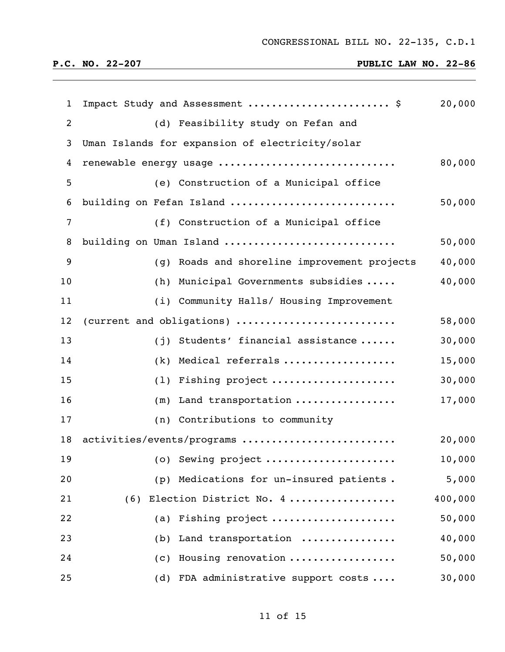CONGRESSIONAL BILL NO. 22-135, C.D.1

| $\mathbf{1}$   | Impact Study and Assessment  \$                 | 20,000  |
|----------------|-------------------------------------------------|---------|
| 2              | (d) Feasibility study on Fefan and              |         |
| 3              | Uman Islands for expansion of electricity/solar |         |
| 4              | renewable energy usage                          | 80,000  |
| 5              | (e) Construction of a Municipal office          |         |
| 6              | building on Fefan Island                        | 50,000  |
| $\overline{7}$ | (f) Construction of a Municipal office          |         |
| 8              | building on Uman Island                         | 50,000  |
| 9              | (g) Roads and shoreline improvement projects    | 40,000  |
| 10             | (h) Municipal Governments subsidies             | 40,000  |
| 11             | (i) Community Halls/ Housing Improvement        |         |
| 12             | (current and obligations)                       | 58,000  |
| 13             | (j) Students' financial assistance              | 30,000  |
| 14             | (k) Medical referrals                           | 15,000  |
| 15             | (1) Fishing project                             | 30,000  |
| 16             | $(m)$ Land transportation                       | 17,000  |
| 17             | (n) Contributions to community                  |         |
| 18             | activities/events/programs                      | 20,000  |
| 19             | (o) Sewing project                              | 10,000  |
| 20             | (p) Medications for un-insured patients.        | 5,000   |
| 21             | Election District No. 4<br>(6)                  | 400,000 |
| 22             | Fishing project<br>(a)                          | 50,000  |
| 23             | Land transportation<br>(b)                      | 40,000  |
| 24             | Housing renovation<br>(C)                       | 50,000  |
| 25             | (d) FDA administrative support costs            | 30,000  |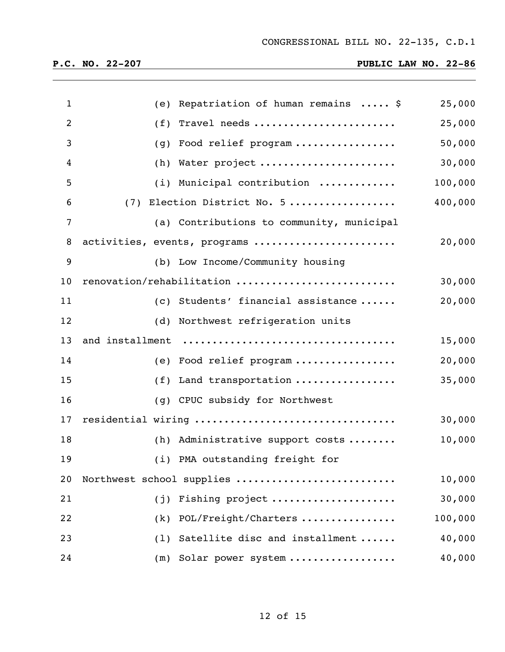| $\mathbf{1}$   |     | (e) Repatriation of human remains $\ldots$ , \$ | 25,000  |
|----------------|-----|-------------------------------------------------|---------|
| $\overline{2}$ |     | $(f)$ Travel needs                              | 25,000  |
| 3              |     | (g) Food relief program                         | 50,000  |
|                |     |                                                 |         |
| $\overline{4}$ |     | (h) Water project                               | 30,000  |
| 5              |     | (i) Municipal contribution                      | 100,000 |
| 6              |     | (7) Election District No. 5                     | 400,000 |
| $\overline{7}$ |     | (a) Contributions to community, municipal       |         |
| 8              |     | activities, events, programs                    | 20,000  |
| 9              |     | (b) Low Income/Community housing                |         |
| 10             |     | renovation/rehabilitation                       | 30,000  |
| 11             |     | (c) Students' financial assistance              | 20,000  |
| 12             |     | (d) Northwest refrigeration units               |         |
| 13             |     | and installment                                 | 15,000  |
| 14             |     | (e) Food relief program                         | 20,000  |
| 15             |     | (f) Land transportation                         | 35,000  |
| 16             |     | (q) CPUC subsidy for Northwest                  |         |
| 17             |     | residential wiring                              | 30,000  |
| 18             |     | (h) Administrative support costs                | 10,000  |
| 19             |     | (i) PMA outstanding freight for                 |         |
| 20             |     | Northwest school supplies                       | 10,000  |
| 21             | (i) | Fishing project                                 | 30,000  |
| 22             | (k) | POL/Freight/Charters                            | 100,000 |
| 23             | (1) | Satellite disc and installment                  | 40,000  |
| 24             | (m) | Solar power system                              | 40,000  |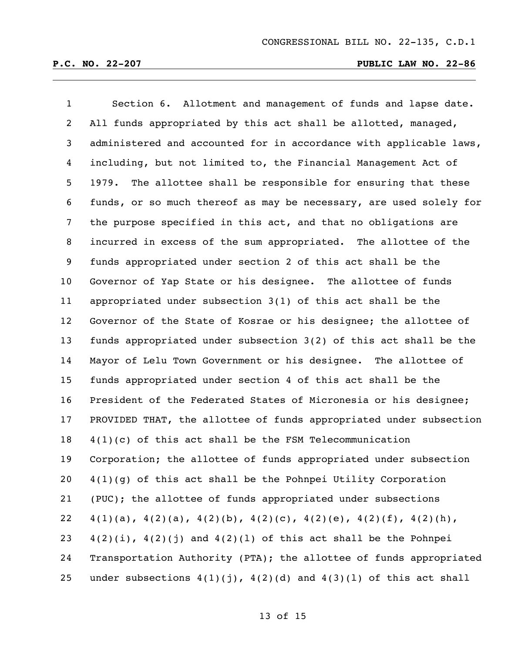| $\mathbf{1}$    | Section 6. Allotment and management of funds and lapse date.                        |
|-----------------|-------------------------------------------------------------------------------------|
| $\overline{2}$  | All funds appropriated by this act shall be allotted, managed,                      |
| 3               | administered and accounted for in accordance with applicable laws,                  |
| $\overline{4}$  | including, but not limited to, the Financial Management Act of                      |
| 5 <sub>1</sub>  | 1979. The allottee shall be responsible for ensuring that these                     |
| 6               | funds, or so much thereof as may be necessary, are used solely for                  |
| $7\overline{ }$ | the purpose specified in this act, and that no obligations are                      |
| 8               | incurred in excess of the sum appropriated. The allottee of the                     |
| 9               | funds appropriated under section 2 of this act shall be the                         |
| $10\,$          | Governor of Yap State or his designee. The allottee of funds                        |
| 11              | appropriated under subsection 3(1) of this act shall be the                         |
| 12 <sub>2</sub> | Governor of the State of Kosrae or his designee; the allottee of                    |
| 13              | funds appropriated under subsection 3(2) of this act shall be the                   |
| 14              | Mayor of Lelu Town Government or his designee. The allottee of                      |
| 15              | funds appropriated under section 4 of this act shall be the                         |
| 16              | President of the Federated States of Micronesia or his designee;                    |
| 17              | PROVIDED THAT, the allottee of funds appropriated under subsection                  |
| 18              | $4(1)(c)$ of this act shall be the FSM Telecommunication                            |
| 19              | Corporation; the allottee of funds appropriated under subsection                    |
| 20              | $4(1)(g)$ of this act shall be the Pohnpei Utility Corporation                      |
| 21              | (PUC); the allottee of funds appropriated under subsections                         |
| 22              | $4(1)(a)$ , $4(2)(a)$ , $4(2)(b)$ , $4(2)(c)$ , $4(2)(e)$ , $4(2)(f)$ , $4(2)(h)$ , |
| 23              | $4(2)(i)$ , $4(2)(j)$ and $4(2)(1)$ of this act shall be the Pohnpei                |
| 24              | Transportation Authority (PTA); the allottee of funds appropriated                  |
| 25              | under subsections $4(1)(j)$ , $4(2)(d)$ and $4(3)(1)$ of this act shall             |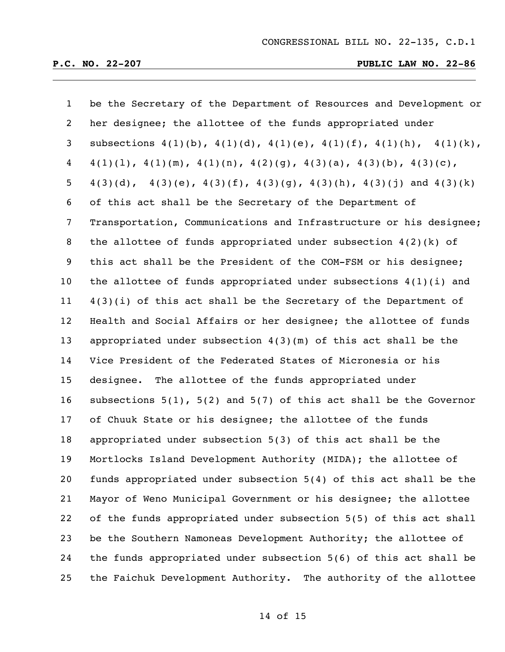| $\mathbf{1}$   | be the Secretary of the Department of Resources and Development or                  |
|----------------|-------------------------------------------------------------------------------------|
| $\overline{2}$ | her designee; the allottee of the funds appropriated under                          |
| 3              | subsections $4(1)(b)$ , $4(1)(d)$ , $4(1)(e)$ , $4(1)(f)$ , $4(1)(h)$ , $4(1)(k)$ , |
| 4              | $4(1)(1)$ , $4(1)(m)$ , $4(1)(n)$ , $4(2)(g)$ , $4(3)(a)$ , $4(3)(b)$ , $4(3)(c)$ , |
| 5              | $4(3)(d)$ , $4(3)(e)$ , $4(3)(f)$ , $4(3)(g)$ , $4(3)(h)$ , $4(3)(j)$ and $4(3)(k)$ |
| 6              | of this act shall be the Secretary of the Department of                             |
| 7              | Transportation, Communications and Infrastructure or his designee;                  |
| 8              | the allottee of funds appropriated under subsection $4(2)(k)$ of                    |
| 9              | this act shall be the President of the COM-FSM or his designee;                     |
| 10             | the allottee of funds appropriated under subsections $4(1)(i)$ and                  |
| 11             | $4(3)(i)$ of this act shall be the Secretary of the Department of                   |
| 12             | Health and Social Affairs or her designee; the allottee of funds                    |
| 13             | appropriated under subsection $4(3)(m)$ of this act shall be the                    |
| 14             | Vice President of the Federated States of Micronesia or his                         |
| 15             | designee. The allottee of the funds appropriated under                              |
| 16             | subsections $5(1)$ , $5(2)$ and $5(7)$ of this act shall be the Governor            |
| 17             | of Chuuk State or his designee; the allottee of the funds                           |
| 18             | appropriated under subsection 5(3) of this act shall be the                         |
| 19             | Mortlocks Island Development Authority (MIDA); the allottee of                      |
| 20             | funds appropriated under subsection 5(4) of this act shall be the                   |
| 21             | Mayor of Weno Municipal Government or his designee; the allottee                    |
| 22             | of the funds appropriated under subsection 5(5) of this act shall                   |
| 23             | be the Southern Namoneas Development Authority; the allottee of                     |
| 24             | the funds appropriated under subsection 5(6) of this act shall be                   |
| 25             | the Faichuk Development Authority.<br>The authority of the allottee                 |